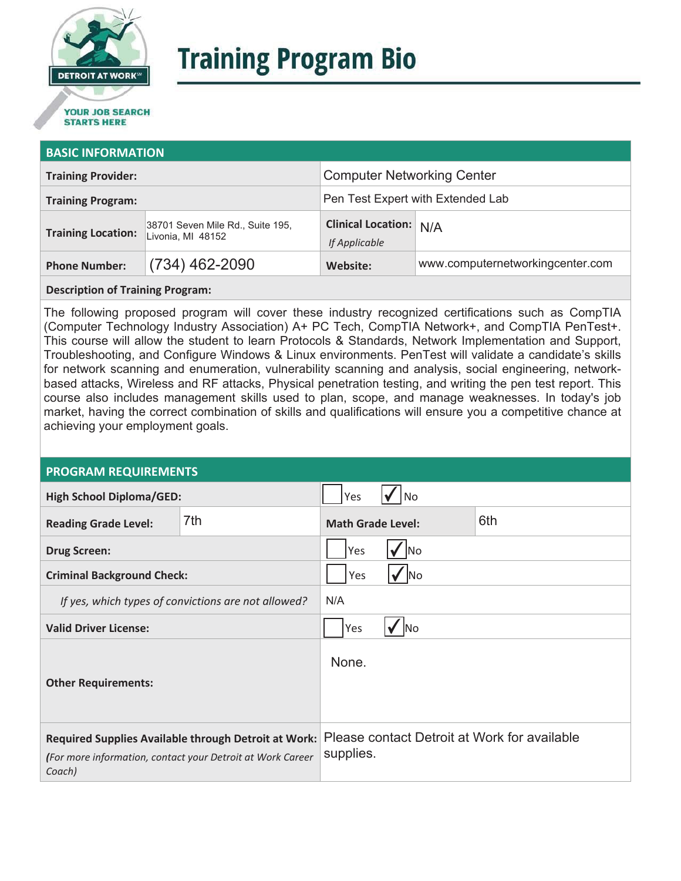

# **Training Program Bio**

## **STARTS HERE**

#### **BASIC INFORMATION**

| <b>Training Provider:</b> |                                                       | <b>Computer Networking Center</b>              |                                  |  |
|---------------------------|-------------------------------------------------------|------------------------------------------------|----------------------------------|--|
| <b>Training Program:</b>  |                                                       | Pen Test Expert with Extended Lab              |                                  |  |
| <b>Training Location:</b> | 38701 Seven Mile Rd., Suite 195,<br>Livonia, MI 48152 | <b>Clinical Location: N/A</b><br>If Applicable |                                  |  |
| <b>Phone Number:</b>      | $(734)$ 462-2090                                      | Website:                                       | www.computernetworkingcenter.com |  |

#### **Description of Training Program:**

The following proposed program will cover these industry recognized certifications such as CompTIA (Computer Technology Industry Association) A+ PC Tech, CompTIA Network+, and CompTIA PenTest+. This course will allow the student to learn Protocols & Standards, Network Implementation and Support, Troubleshooting, and Configure Windows & Linux environments. PenTest will validate a candidate's skills for network scanning and enumeration, vulnerability scanning and analysis, social engineering, networkbased attacks, Wireless and RF attacks, Physical penetration testing, and writing the pen test report. This course also includes management skills used to plan, scope, and manage weaknesses. In today's job market, having the correct combination of skills and qualifications will ensure you a competitive chance at achieving your employment goals.

#### **PROGRAM REQUIREMENTS**

| <b>High School Diploma/GED:</b>                                                                                              |     | Yes                                                       | l No |     |
|------------------------------------------------------------------------------------------------------------------------------|-----|-----------------------------------------------------------|------|-----|
| <b>Reading Grade Level:</b>                                                                                                  | 7th | <b>Math Grade Level:</b>                                  |      | 6th |
| <b>Drug Screen:</b>                                                                                                          |     | Yes<br>lNo                                                |      |     |
| <b>Criminal Background Check:</b>                                                                                            |     | <b>No</b><br>Yes                                          |      |     |
| If yes, which types of convictions are not allowed?                                                                          |     | N/A                                                       |      |     |
| <b>Valid Driver License:</b>                                                                                                 |     | Yes<br><b>No</b>                                          |      |     |
| <b>Other Requirements:</b>                                                                                                   |     | None.                                                     |      |     |
| Required Supplies Available through Detroit at Work:<br>(For more information, contact your Detroit at Work Career<br>Coach) |     | Please contact Detroit at Work for available<br>supplies. |      |     |